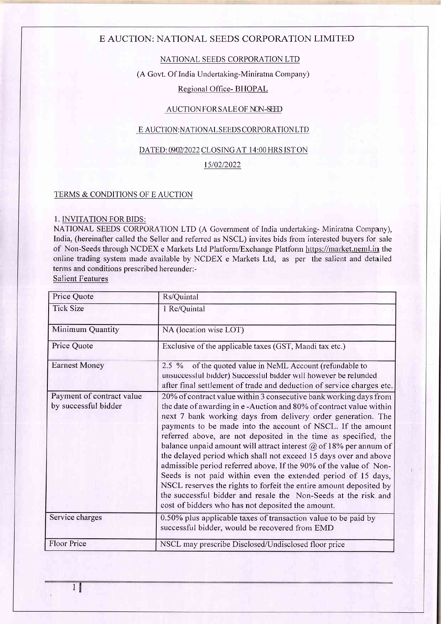# NATIONAL SEEDS CORPORATION LTD

(A Govt. Of India Undertaking-Miniratna Company)

# Regional Office- BHOPAL

### AUCTION FOR SALE OF NON-SEED

### E AUCTION:NATIONAL SEEDS CORPORATIONLTD

### DATED: 09/02/2022 CLOSING AT 14:00 HRS ISTON

#### 1510212022

### TERMS & CONDITIONS OF E AUCTION

#### 1. INVITATION FORBIDS:

NATIONAL SEEDS CORPORATION LTD (A Government of India undertaking- Miniratna Company), India, (hereinafter called the Seller and referred as NSCL) invites bids from interested buyers for sale of Non-Seeds through NCDEX e Markets Ltd Platform/Exchange Platfonn https://narket.neml.in the online trading system made available by NCDEX e Markets Ltd, as per the salient and detailed terms and conditions prescribed hereunder:-

Salient Features

| Price Quote                                       | Rs/Quintal                                                                                                                                                                                                                                                                                                                                                                                                                                                                                                                                                                                                                                                                                                                                                                                                                   |
|---------------------------------------------------|------------------------------------------------------------------------------------------------------------------------------------------------------------------------------------------------------------------------------------------------------------------------------------------------------------------------------------------------------------------------------------------------------------------------------------------------------------------------------------------------------------------------------------------------------------------------------------------------------------------------------------------------------------------------------------------------------------------------------------------------------------------------------------------------------------------------------|
| <b>Tick Size</b>                                  | 1 Re/Quintal                                                                                                                                                                                                                                                                                                                                                                                                                                                                                                                                                                                                                                                                                                                                                                                                                 |
| Minimum Quantity                                  | NA (location wise LOT)                                                                                                                                                                                                                                                                                                                                                                                                                                                                                                                                                                                                                                                                                                                                                                                                       |
| Price Quote                                       | Exclusive of the applicable taxes (GST, Mandi tax etc.)                                                                                                                                                                                                                                                                                                                                                                                                                                                                                                                                                                                                                                                                                                                                                                      |
| <b>Earnest Money</b>                              | of the quoted value in NeML Account (refundable to<br>$2.5\%$<br>unsuccessful bidder) Successful bidder will however be refunded<br>after final settlement of trade and deduction of service charges etc.                                                                                                                                                                                                                                                                                                                                                                                                                                                                                                                                                                                                                    |
| Payment of contract value<br>by successful bidder | 20% of contract value within 3 consecutive bank working days from<br>the date of awarding in e-Auction and 80% of contract value within<br>next 7 bank working days from delivery order generation. The<br>payments to be made into the account of NSCL. If the amount<br>referred above, are not deposited in the time as specified, the<br>balance unpaid amount will attract interest $\omega$ of 18% per annum of<br>the delayed period which shall not exceed 15 days over and above<br>admissible period referred above. If the 90% of the value of Non-<br>Seeds is not paid within even the extended period of 15 days,<br>NSCL reserves the rights to forfeit the entire amount deposited by<br>the successful bidder and resale the Non-Seeds at the risk and<br>cost of bidders who has not deposited the amount. |
| Service charges                                   | 0.50% plus applicable taxes of transaction value to be paid by<br>successful bidder, would be recovered from EMD                                                                                                                                                                                                                                                                                                                                                                                                                                                                                                                                                                                                                                                                                                             |
| <b>Floor Price</b>                                | NSCL may prescribe Disclosed/Undisclosed floor price                                                                                                                                                                                                                                                                                                                                                                                                                                                                                                                                                                                                                                                                                                                                                                         |

1g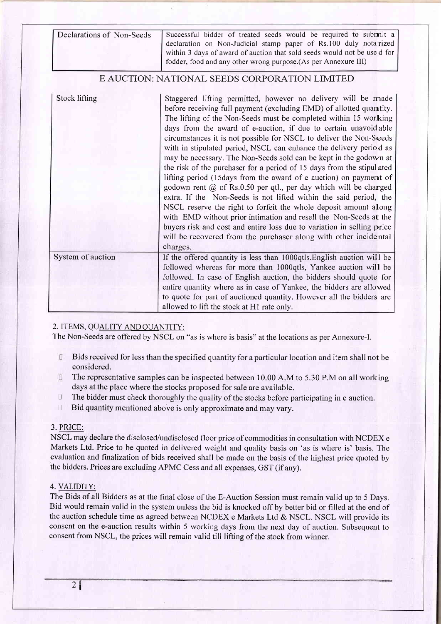| Declarations of Non-Seeds | Successful bidder of treated seeds would be required to submit a         |
|---------------------------|--------------------------------------------------------------------------|
|                           | declaration on Non-Judicial stamp paper of Rs.100 duly notarized         |
|                           | within 3 days of award of auction that sold seeds would not be use d for |
|                           | fodder, food and any other wrong purpose. (As per Annexure III)          |

| <b>Stock lifting</b> | Staggered lifting permitted, however no delivery will be made<br>before receiving full payment (excluding EMD) of allotted quantity.<br>The lifting of the Non-Seeds must be completed within 15 working<br>days from the award of e-auction, if due to certain unavoidable<br>circumstances it is not possible for NSCL to deliver the Non-Seeds<br>with in stipulated period, NSCL can enhance the delivery period as<br>may be necessary. The Non-Seeds sold can be kept in the godown at<br>the risk of the purchaser for a period of 15 days from the stipulated<br>lifting period (15 days from the award of e auction) on payment of<br>godown rent $\omega$ of Rs.0.50 per qtl., per day which will be charged<br>extra. If the Non-Seeds is not lifted within the said period, the<br>NSCL reserve the right to forfeit the whole deposit amount along<br>with EMD without prior intimation and resell the Non-Seeds at the<br>buyers risk and cost and entire loss due to variation in selling price<br>will be recovered from the purchaser along with other incidental<br>charges. |
|----------------------|------------------------------------------------------------------------------------------------------------------------------------------------------------------------------------------------------------------------------------------------------------------------------------------------------------------------------------------------------------------------------------------------------------------------------------------------------------------------------------------------------------------------------------------------------------------------------------------------------------------------------------------------------------------------------------------------------------------------------------------------------------------------------------------------------------------------------------------------------------------------------------------------------------------------------------------------------------------------------------------------------------------------------------------------------------------------------------------------|
| System of auction    | If the offered quantity is less than 1000qtls. English auction will be<br>followed whereas for more than 1000qtls, Yankee auction will be<br>followed. In case of English auction, the bidders should quote for<br>entire quantity where as in case of Yankee, the bidders are allowed<br>to quote for part of auctioned quantity. However all the bidders are<br>allowed to lift the stock at H1 rate only.                                                                                                                                                                                                                                                                                                                                                                                                                                                                                                                                                                                                                                                                                   |

### 2. ITEMS. OUALITY AND OUANTITY:

The Non-Seeds are offered by NSCL on "as is where is basis" at the locations as per Annexure-I.

- Bids received for less than the specified quantity for a particular location and item shall not be 厅. considered.
- $\Box$ The representative samples can be inspected between 10.00 A.M to 5.30 P.M on all working days at the place where the stocks proposed for sale are available.
- $\Box$ The bidder must check thoroughly the quality of the stocks before parlicipating in e auction.
- $\Box$ Bid quantity mentioned above is only approximate and may vary.

### 3. PRICE:

NSCL may declare the disclosed/undisclosed floor price of commodities in consultation with NCDEX <sup>e</sup> Markets Ltd. Price to be quoted in delivered weight and quality basis on 'as is where is' basis. The evaluation and frnalization of bids received shall be made on the basis of the highest price quoted by the bidders. Prices are excluding APMC Cess and all expenses, GST (if any).

### 4. VALIDITY:

The Bids of all Bidders as at the final close of the E-Auction Session must remain valid up to 5 Days. Bid would remain valid in the system unless the bid is knocked off by better bid or filled at the end of the auction schedule time as agreed between NCDEX e Markets Ltd & NSCL. NSCL will provide its consent on the e-auction results within 5 working days from the next day of auction. Subsequent to consent from NSCL, the prices will remain valid till lifting of the stock from winner.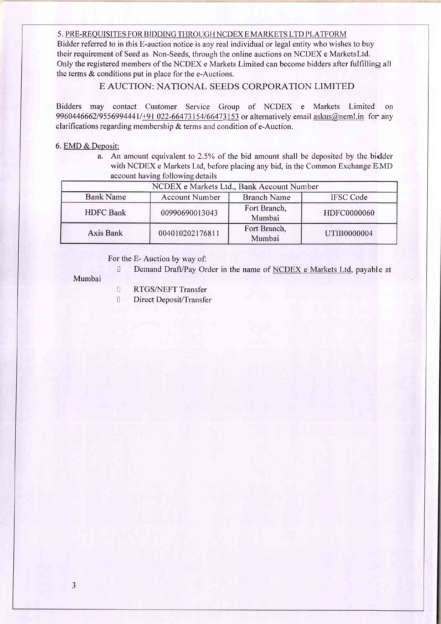#### 5. PRE-REQUISITES FOR BIDDING THROUGH NCDEX E MARKETS LTD PLATFORM

Bidder referred to in this E-auction notice is any real individual or legal entity who wishes to buy their requirement of Seed as Non-Seeds, through the online auctions on NCDEX e Marketsltd. Only the registered members of the NCDEX e Markets Limited can become bidders after fulfilling all the terms & conditions put in place for the e-Auctions.

# E AUCTION: NATIONAL SEEDS CORPORATION LIMITED

Bidders may contact Customer Service Group of NCDEX e Markets Limited on 9960446662/9556994441/+91 022-66473154/66473153 or alternatively email askus@neml.in for any clarifications regarding membership & terms and condition of e-Auction.

#### 6. EMD & Deposit:

a. An amount equivalent to 2.5Yo of the bid amount shall be deposited by the bidder with NCDEX e Markets Ltd, before placing anybid, in the Common Exchange EMD account having following details

|                  | NCDEX e Markets Ltd., Bank Account Number |                        |                  |
|------------------|-------------------------------------------|------------------------|------------------|
| <b>Bank Name</b> | <b>Account Number</b>                     | <b>Branch Name</b>     | <b>IFSC Code</b> |
| <b>HDFC</b> Bank | 00990690013043                            | Fort Branch,<br>Mumbai | HDFC0000060      |
| Axis Bank        | 004010202176811                           | Fort Branch,<br>Mumbai | UTIB0000004      |

For the E- Auction by way of:

<sup>0</sup> Demand Draft/Pay Order in the name of NCDEX e Markets Ltd, payable at

Mumbai

- **I** RTGS/NEFT Transfer
- Direct Deposit/Transfer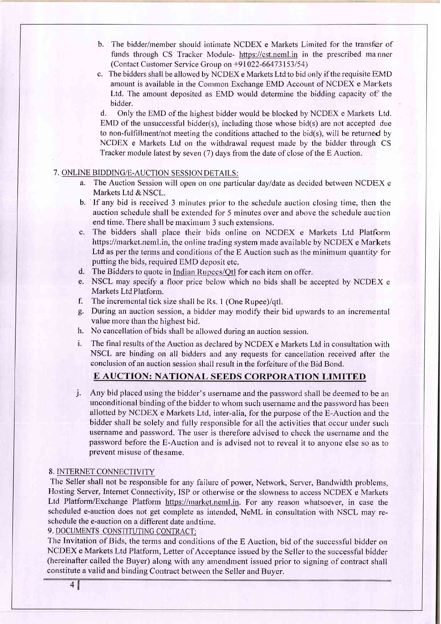- b. The bidder/member should intinate NCDEX e Markets Limited for the transfer of funds through CS Tracker Module- https://cst.neml.in in the prescribed manner (Contact Customer Service Group on  $+91022-66473153/54$ )
- c. The bidders shall be allowed by NCDEX e Markets Ltd to bid only if the requisite EM <sup>D</sup> amount is available in the Common Exchange EMD Account of NCDEX e Markets Ltd. The amount deposited as EMD would determine the bidding capacity of the bidder.

d. Only the EMD of the highest bidder would be blocked by NCDEX e Markets Ltd. EMD of the unsuccessful bidder(s), including those whose bid(s) are not accepted due to non-fulfillrnent/not meeting the conditions attached to the bid(s), will be returned by NCDEX e Markets Ltd on the withdrawal request made by the bidder through CS Tracker module latest by seven (7) days from the date of close of the E Auction.

### 7. ONLINE BIDDING/E-AUCTION SESSION DETAILS:

- a. The Auction Session will open on one particular dayldate as decided between NCDEX <sup>e</sup> Markets Ltd & NSCL.
- b. If any bid is received 3 minutes prior to the schedule auction closing time, then the auction schedule shall be extended for 5 minutes over and above the schedule auction end time. There shall be maximum 3 such extensions.
- c. The bidders shall place their bids online on NCDEX e Markets Ltd Platform https://market.neml.in, the online trading system made available by NCDEX e Markets Ltd as per the terms and conditions of the E Auction such as the minimum quantity for putting the bids, required EMD deposit etc.
- d. The Biddcrs to quotc in Indian Rupccs/Otl for cach itcm on offcr.
- e. NSCL may specify a floor price below which no bids shall be accepted by NCDEX <sup>e</sup> Markets Ltd Platform.
- f. The incremental tick size shall be Rs. 1 (One Rupee)/qtl.
- g. During an auction session, a bidder may modify their bid upwards to an incremental value more than the highest bid.
- h. No cancellation of bids shall be allowed during an auction session.
- i. The final results of the Auction as declared by NCDEX e Markets Ltd in consultation with NSCL are binding on all bidders and any requests for cancellation received after the conclusion of an auction session shall result in the forfeiture of the Bid Bond.

# E AUCTION: NATIONAL SEEDS CORPORATION LIMITED

j. Any bid placed using the bidder's username and the password shall be deemed to be an unconditional binding of the bidder to whom such username and the password has been allotted by NCDEX e Markets Ltd, inter-alia, for the purpose of the E-Auction and the bidder shall be solely and fully responsible for all the activities that occur under such username and password. The user is therefore advised to check the username and the password before the E-Auction and is advised not to reveal it to anyone else so as to prevent misuse of thesame.

#### 8. INTERNET CONNECTIVITY

The Seller shall not be responsible for any failure of power, Network, Server, Bandwidth problems, Hosting Server, Internet Connectivity, ISP or otherwise or the slowness to access NCDEX e Markets Ltd Platform/Exchange Platform https://market.neml.in. For any reason whatsoever, in case the scheduled e-auction does not get complete as intended, NeML in consultation with NSCL may reschedule the e-auction on a different date andtime.

9. DOCUMENTS CONSTITUTING CONTRACT:

The Invitation of Bids, the terms and conditions of the E Auction, bid of the successful bidder on NCDEX e Markets Ltd Platform, Letter of Acceptance issued by the Seller to the successful bidder (hereinafter called the Buyer) along with any amendment issued prior to signing of contract shall constitute a valid and binding Contract between the Seller and Buyer.

4&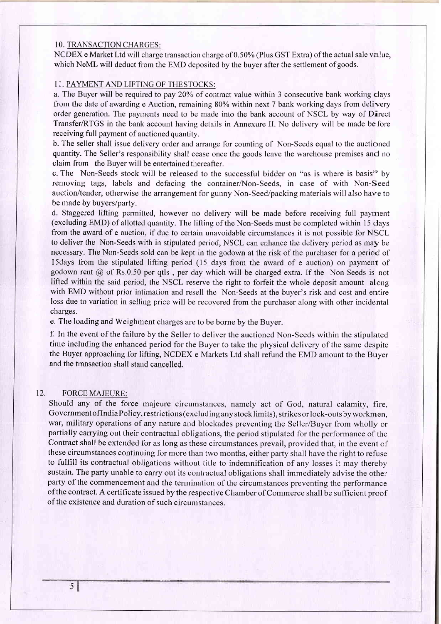### <sup>1</sup>O. TRANSACTION CHARGES:

NCDEX e Market Ltd will charge transaction charge of 0.50Yo (Plus GST Extra) of the actual sale value, which NeML will deduct from the EMD deposited by the buyer after the settlement of goods.

### 1I. PAYMENT AND LIFTING OF THESTOCKS:

a. The Buyer will be required to pay 20% of contract value within 3 consecutive bank working days from the date of awarding e Auction, remaining 80% within next 7 bank working days from delivery order generation. The payrnents need to be made into the bank account of NSCL by way of Direct Transfer/RTGS in the bank account having details in Annexure II. No delivery will be made before receiving full payment of auctioned quantity.

b. The seller shall issue delivery order and arrange for counting of Non-Seeds equal to the auctioned quantity. The Seller's responsibility shall cease once the goods leave the warehouse premises and no claim from the Buyer will be entertained thereafter.

c. The Non-Seeds stock will be released to the successful bidder on "as is where is basis'' by removing tags, labels and defacing the container/Non-Seeds, in case of with Non-Seed auction/tender, otherwise the arrangement for gunny Non-Seed/packing materials will also have to be made by buyers/party.

d. Staggered lifting permitted, however no delivery will be made before receiving full payrnent (excluding EMD) of allotted quantity. The lifting of the Non-Seeds must be completed within 15 days frorn the award of e auction, if due to certain unavoidable circumstances it is not possible for NSCL to deliver the Non-Seeds with in stipulated period, NSCL can enhance the delivery period as may be necessary. The Non-Seeds sold can be kept in the godown at the risk of the purchaser for a period of l5days from the stipulated lifting period (15 days from the award of e auction) on payment of godown rent @ of Rs.0.50 per qtls , per day which will be charged extra. If the Non-Seeds is not lifted within the said period, the NSCL reserve the right to forfeit the whole deposit amount along with EMD without prior intimation and resell the Non-Seeds at the buyer's risk and cost and entire loss due to variation in selling price will be recovered from the purchaser along with other incidental charges.

e. The loading and Weighment charges are to be borne by the Buyer.

f. In the event of the failure by the Seller to deliver the auctioned Non-Seeds within the stipulated time including the enhanced period for the Buyer to take the physical delivery of the same despite the Buyer approaching for lifting, NCDEX e Markets Ltd shall refund the EMD amount to the Buyer and the transaction shall stand cancelled,

### 12. FORCEMAJEURE:

Should any of the force majeure circumstances, namely act of God, natural calamity, fire, GovernmentoflndiaPolicy, restrictions (exclud ing any stocklimits), strikes or lock-outs byworkmen, war, military operations of any nature and blockades preventing the Seller/Buyer from wholly or partially carrying out their contractual obligations, the period stipulated for the performance of the Contract shall be extended for as long as these circumstances prevail, provided that, in the event of these circumstances continuing for more than two months, either party shall have the right to refuse to fulfill its contractual obligations without title to indemnification of any losses it may thereby sustain. The party unable to carry out its contractual obligations shall immediately advise the other party of the commencement and the termination of the circumstances preventing the performance ofthe contract. A certificate issued by the respective Chamber of Commerce shall be sufficient proof of the existence and duration of such circumstances.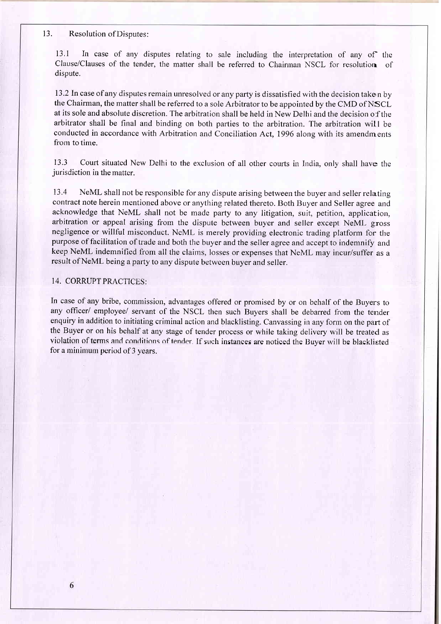#### 13. Resolution of Disputes:

13.1 In case of any disputes relating to sale including the interpretation of any of the Clause/Clauses of the tender, the matter shall be referred to Chairrnan NSCL for resolution of dispute.

13.2 In case of any disputes remain unresolved or any party is dissatisfied with the decision take n by the Chairman, the matter shall be referred to a sole Arbitrator to be appointed by the CMD of NSCL at its sole and absolute discretion. The arbitration shall be held in New Delhi and the decision of the arbitrator shall be final and binding on both parties to the arbitration. The arbitration will be conducted in accordance with Arbitration and Conciliation Act, 1996 along with its amendments from to time.

13.3 Court situated New Delhi to the exclusion of all other courts in India. only shall have the jurisdiction in the matter.

13.4 NeML shall not be responsible for any dispute arising between the buyer and seller relating contract note herein mentioned above or anything related thereto. Both Buyer and Seller agree and acknowledge that NeML shall not be made party to any litigation, suit, petition, application, arbitration or appeal arising from the dispute between buyer and seller except NeML gross negligence or willful misconduct. NeML is merely providing electronic trading platform for the purpose of facilitation of trade and both the buyer and the seller agree and accept to indemnify and keep NeML indemnified from all the claims, losses or expenses that NeML may incur/suffer as <sup>a</sup> result of NeML being a party to any dispute between buyer and seller.

# 14. CORRUPT PRACTICES:

In case of any bribe, commission, advantages offered or promised by or on behalf of the Buyers to any officer/ employee/ servant of the NSCL then such Buyers shall be debarred from the tender enquiry in addition to initiating criminal action and blacklisting. Canvassing in any fonn on the part of the Buyer or on his behalf at any stage of tender process or while taking delivery will be treated as violation of terms and conditions of tender. If such instances are noticed the Buyer will be blacklisted for a minimum period of 3 years.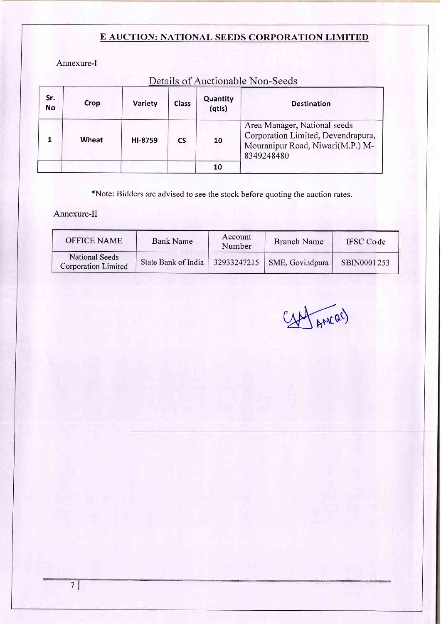Annexure-I

| Sr.<br><b>No</b> | Crop  | Variety | <b>Class</b> | Quantity<br>(qtls) | Deans of Fractionable From Deeds<br><b>Destination</b>                                                               |
|------------------|-------|---------|--------------|--------------------|----------------------------------------------------------------------------------------------------------------------|
|                  | Wheat | HI-8759 | <b>CS</b>    | 10                 | Area Manager, National seeds<br>Corporation Limited, Devendrapura,<br>Mouranipur Road, Niwari(M.P.) M-<br>8349248480 |
|                  |       |         |              | 10                 |                                                                                                                      |

Details of Auctionable Non-Seeds

\*Note: Bidders are advised to see the stock before quoting the auction rates.

Annexure-II

| <b>OFFICE NAME</b>                                  | <b>Bank Name</b>    | Account<br>Number | <b>Branch Name</b>            | <b>IFSC</b> Code |
|-----------------------------------------------------|---------------------|-------------------|-------------------------------|------------------|
| <b>National Seeds</b><br><b>Corporation Limited</b> | State Bank of India |                   | $32933247215$ SME, Govindpura | SBIN0001253      |

fancac)